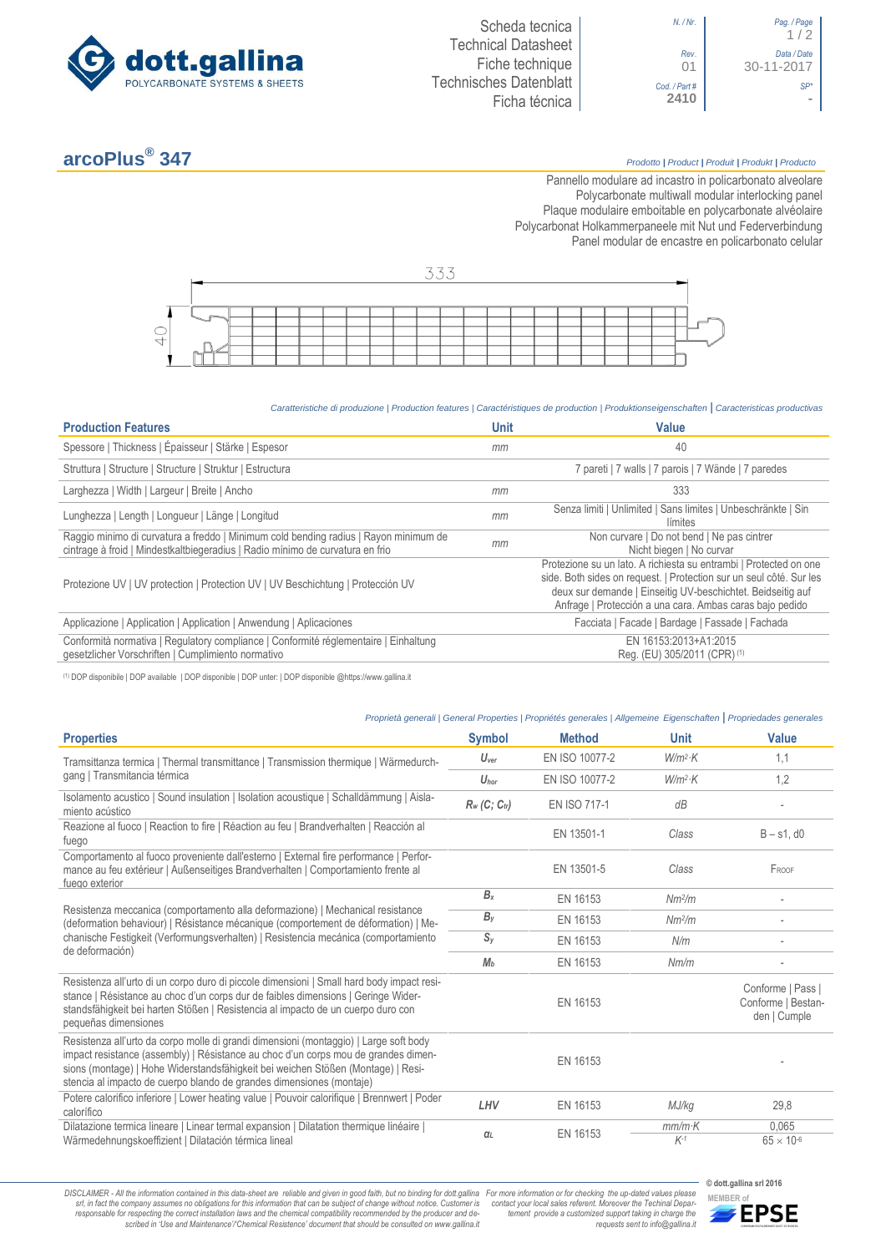

 $1/2$ *Rev*. *Data / Date* 01 30-11-2017 *Cod. / Part # SP\**

# **arcoPlus®**

## **347** *Prodotto <sup>|</sup> Product <sup>|</sup> Produit <sup>|</sup> Produkt <sup>|</sup> Producto*

Pannello modulare ad incastro in policarbonato alveolare Polycarbonate multiwall modular interlocking panel Plaque modulaire emboitable en polycarbonate alvéolaire Polycarbonat Holkammerpaneele mit Nut und Federverbindung [Panel modular de encastre en policarbonato c](http://www.google.it/url?sa=t&rct=j&q=&esrc=s&source=web&cd=6&ved=0ahUKEwiPyOW6w_3PAhXLORoKHXbkAhUQFggtMAU&url=http%3A%2F%2Fwww.getsl.com%2Fes%2Fmateriales-construccion%2Fsabic-policarbonato%2Fplaca-solida%2Flexan-exell-d-placa-translucida%2F&usg=AFQjCNF4aMpg9CRcF79iWWH-XBKKMH3eWA&bvm=bv.136811127,d.bGs)elular



#### *Caratteristiche di produzione | Production features | Caractéristiques de production | Produktionseigenschaften* **|** *Caracteristicas productivas*

| <b>Production Features</b>                                                                                                                                            | <b>Unit</b> | Value                                                                                                                                                                                                                                                               |
|-----------------------------------------------------------------------------------------------------------------------------------------------------------------------|-------------|---------------------------------------------------------------------------------------------------------------------------------------------------------------------------------------------------------------------------------------------------------------------|
| Spessore   Thickness   Épaisseur   Stärke   Espesor                                                                                                                   | mm          | 40                                                                                                                                                                                                                                                                  |
| Struttura   Structure   Structure   Struktur   Estructura                                                                                                             |             | 7 pareti   7 walls   7 parois   7 Wände   7 paredes                                                                                                                                                                                                                 |
| Larghezza   Width   Largeur   Breite   Ancho                                                                                                                          | mm          | 333                                                                                                                                                                                                                                                                 |
| Lunghezza   Length   Longueur   Länge   Longitud                                                                                                                      | mm          | Senza limiti   Unlimited   Sans limites   Unbeschränkte   Sin<br>límites                                                                                                                                                                                            |
| Raggio minimo di curvatura a freddo   Minimum cold bending radius   Rayon minimum de<br>cintrage à froid   Mindestkaltbiegeradius   Radio mínimo de curvatura en frio | mm          | Non curvare   Do not bend   Ne pas cintrer<br>Nicht biegen   No curvar                                                                                                                                                                                              |
| Protezione UV   UV protection   Protection UV   UV Beschichtung   Protección UV                                                                                       |             | Protezione su un lato. A richiesta su entrambi   Protected on one<br>side. Both sides on request.   Protection sur un seul côté. Sur les<br>deux sur demande   Einseitig UV-beschichtet. Beidseitig auf<br>Anfrage   Protección a una cara. Ambas caras bajo pedido |
| Applicazione   Application   Application   Anwendung   Aplicaciones                                                                                                   |             | Facciata   Facade   Bardage   Fassade   Fachada                                                                                                                                                                                                                     |
| Conformità normativa   Regulatory compliance   Conformité réglementaire   Einhaltung<br>gesetzlicher Vorschriften   Cumplimiento normativo                            |             | EN 16153:2013+A1:2015<br>Reg. (EU) 305/2011 (CPR) (1)                                                                                                                                                                                                               |

(1) DOP disponibile | DOP available | DOP disponible | DOP unter: | DOP disponible @https://www.gallina.it

### *Proprietà generali | General Properties | Propriétés generales | Allgemeine Eigenschaften* **|** *Propriedades generales*

| <b>Properties</b>                                                                                                                                                                                                                                                                                                                       | <b>Symbol</b>    | <b>Method</b>       | <b>Unit</b>            | Value                                                   |
|-----------------------------------------------------------------------------------------------------------------------------------------------------------------------------------------------------------------------------------------------------------------------------------------------------------------------------------------|------------------|---------------------|------------------------|---------------------------------------------------------|
| Tramsittanza termica   Thermal transmittance   Transmission thermique   Wärmedurch-                                                                                                                                                                                                                                                     | $U_{\text{ver}}$ | EN ISO 10077-2      | $W/m^2$ ·K             | 1,1                                                     |
| gang   Transmitancia térmica                                                                                                                                                                                                                                                                                                            | $U_{\text{hor}}$ | EN ISO 10077-2      | $W/m^2$ K              | 1,2                                                     |
| Isolamento acustico   Sound insulation   Isolation acoustique   Schalldämmung   Aisla-<br>miento acústico                                                                                                                                                                                                                               | $R_w$ (C; Ctr)   | <b>EN ISO 717-1</b> | dB                     |                                                         |
| Reazione al fuoco   Reaction to fire   Réaction au feu   Brandverhalten   Reacción al<br>fuego                                                                                                                                                                                                                                          |                  | EN 13501-1          | Class                  | $B - s1$ , d $0$                                        |
| Comportamento al fuoco proveniente dall'esterno   External fire performance   Perfor-<br>mance au feu extérieur   Außenseitiges Brandverhalten   Comportamiento frente al<br>fuego exterior                                                                                                                                             |                  | EN 13501-5          | Class                  | FROOF                                                   |
|                                                                                                                                                                                                                                                                                                                                         | $B_x$            | EN 16153            | Nm <sup>2</sup> /m     |                                                         |
| Resistenza meccanica (comportamento alla deformazione)   Mechanical resistance<br>(deformation behaviour)   Résistance mécanique (comportement de déformation)   Me-                                                                                                                                                                    | $B_{V}$          | EN 16153            | Nm <sup>2</sup> /m     |                                                         |
| chanische Festigkeit (Verformungsverhalten)   Resistencia mecánica (comportamiento<br>de deformación)                                                                                                                                                                                                                                   | $S_v$            | EN 16153            | N/m                    |                                                         |
|                                                                                                                                                                                                                                                                                                                                         | M <sub>b</sub>   | EN 16153            | Nm/m                   |                                                         |
| Resistenza all'urto di un corpo duro di piccole dimensioni   Small hard body impact resi-<br>stance   Résistance au choc d'un corps dur de faibles dimensions   Geringe Wider-<br>standsfähigkeit bei harten Stößen   Resistencia al impacto de un cuerpo duro con<br>pequeñas dimensiones                                              |                  | EN 16153            |                        | Conforme   Pass  <br>Conforme   Bestan-<br>den   Cumple |
| Resistenza all'urto da corpo molle di grandi dimensioni (montaggio)   Large soft body<br>impact resistance (assembly)   Résistance au choc d'un corps mou de grandes dimen-<br>sions (montage)   Hohe Widerstandsfähigkeit bei weichen Stößen (Montage)   Resi-<br>stencia al impacto de cuerpo blando de grandes dimensiones (montaje) |                  | EN 16153            |                        |                                                         |
| Potere calorifico inferiore   Lower heating value   Pouvoir calorifique   Brennwert   Poder<br>calorífico                                                                                                                                                                                                                               | LHV              | EN 16153            | MJ/kg                  | 29,8                                                    |
| Dilatazione termica lineare   Linear termal expansion   Dilatation thermique linéaire  <br>Wärmedehnungskoeffizient   Dilatación térmica lineal                                                                                                                                                                                         | $\alpha_L$       | EN 16153            | $mm/m\cdot K$<br>$K-1$ | 0,065<br>$65 \times 10^{-6}$                            |

DISCLAIMER - All the information contained in this data-sheet are reliable and given in good faith, but no binding for dott.gallina For more information or for checking the up-dated values please<br>-srl, in fact the company -responsable for respecting the correct installation laws and the chemical compatibility recommended by the producer and de-<br>scribed in 'Use and Maintenance'/'Chemical Resistence' document that should be consulted on www.g

**© dott.gallina srl 2016** *tement provide a customized support taking in charge the requests sent to info@gallina.it*